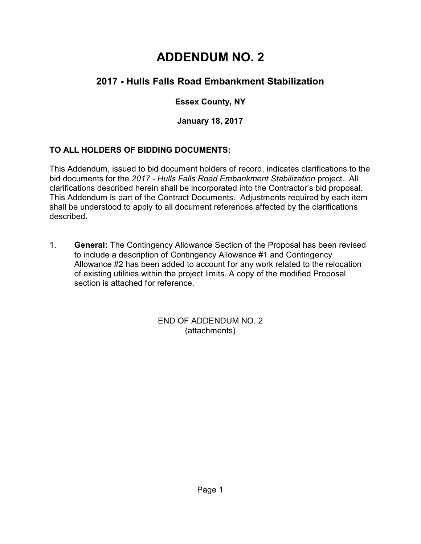# **ADDENDUM NO. 2**

# **2017 - Hulls Falls Road Embankment Stabilization**

## **Essex County, NY**

**January 18, 2017**

### **TO ALL HOLDERS OF BIDDING DOCUMENTS:**

This Addendum, issued to bid document holders of record, indicates clarifications to the bid documents for the *2017 - Hulls Falls Road Embankment Stabilization* project. All clarifications described herein shall be incorporated into the Contractor's bid proposal. This Addendum is part of the Contract Documents. Adjustments required by each item shall be understood to apply to all document references affected by the clarifications described.

1. **General:** The Contingency Allowance Section of the Proposal has been revised to include a description of Contingency Allowance #1 and Contingency Allowance #2 has been added to account for any work related to the relocation of existing utilities within the project limits. A copy of the modified Proposal section is attached for reference.

> END OF ADDENDUM NO. 2 (attachments)